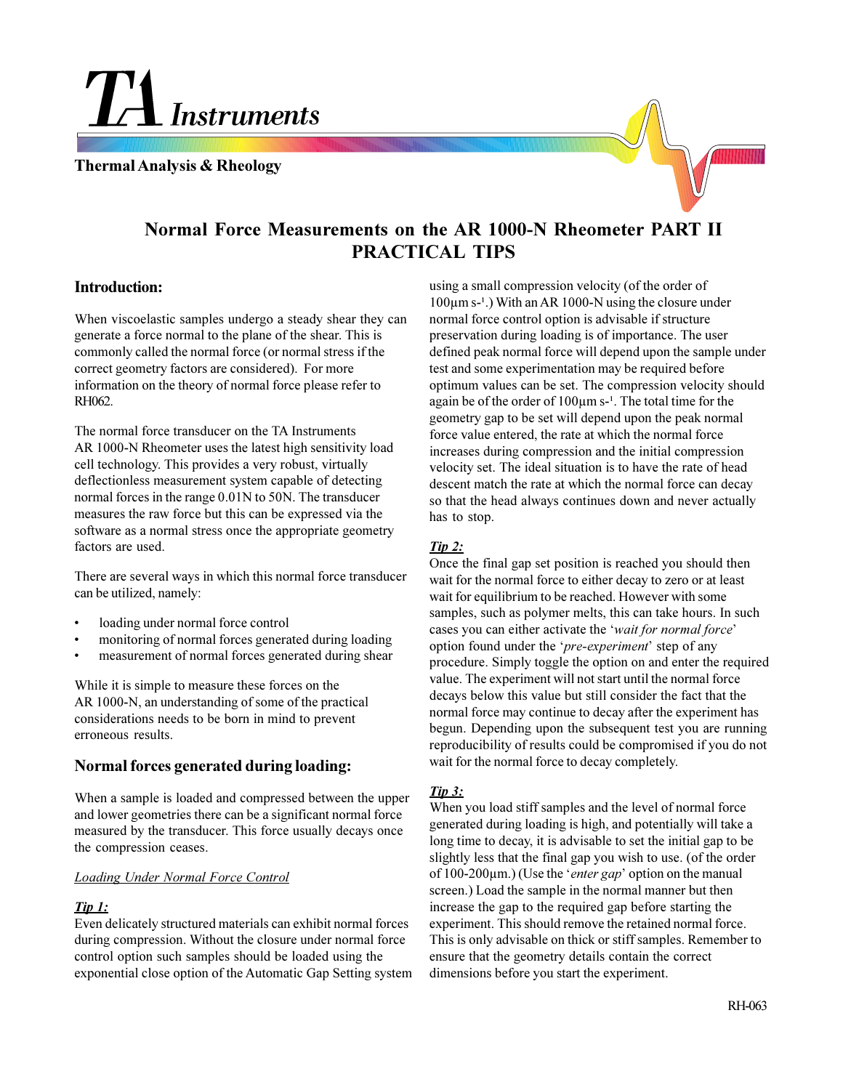TA Instruments

**Thermal Analysis & Rheology**

# **Normal Force Measurements on the AR 1000-N Rheometer PART II PRACTICAL TIPS**

#### **Introduction:**

When viscoelastic samples undergo a steady shear they can generate a force normal to the plane of the shear. This is commonly called the normal force (or normal stress if the correct geometry factors are considered). For more information on the theory of normal force please refer to RH062.

The normal force transducer on the TA Instruments AR 1000-N Rheometer uses the latest high sensitivity load cell technology. This provides a very robust, virtually deflectionless measurement system capable of detecting normal forces in the range 0.01N to 50N. The transducer measures the raw force but this can be expressed via the software as a normal stress once the appropriate geometry factors are used.

There are several ways in which this normal force transducer can be utilized, namely:

- loading under normal force control
- monitoring of normal forces generated during loading
- measurement of normal forces generated during shear

While it is simple to measure these forces on the AR 1000-N, an understanding of some of the practical considerations needs to be born in mind to prevent erroneous results.

## **Normal forces generated during loading:**

When a sample is loaded and compressed between the upper and lower geometries there can be a significant normal force measured by the transducer. This force usually decays once the compression ceases.

#### *Loading Under Normal Force Control*

#### *Tip 1:*

Even delicately structured materials can exhibit normal forces during compression. Without the closure under normal force control option such samples should be loaded using the exponential close option of the Automatic Gap Setting system

using a small compression velocity (of the order of  $100 \mu m$  s-<sup>1</sup>.) With an AR 1000-N using the closure under normal force control option is advisable if structure preservation during loading is of importance. The user defined peak normal force will depend upon the sample under test and some experimentation may be required before optimum values can be set. The compression velocity should again be of the order of  $100 \mu m$  s-<sup>1</sup>. The total time for the geometry gap to be set will depend upon the peak normal force value entered, the rate at which the normal force increases during compression and the initial compression velocity set. The ideal situation is to have the rate of head descent match the rate at which the normal force can decay so that the head always continues down and never actually has to stop.

#### *Tip 2:*

Once the final gap set position is reached you should then wait for the normal force to either decay to zero or at least wait for equilibrium to be reached. However with some samples, such as polymer melts, this can take hours. In such cases you can either activate the *wait for normal force* option found under the *pre-experiment* step of any procedure. Simply toggle the option on and enter the required value. The experiment will not start until the normal force decays below this value but still consider the fact that the normal force may continue to decay after the experiment has begun. Depending upon the subsequent test you are running reproducibility of results could be compromised if you do not wait for the normal force to decay completely.

## *Tip 3:*

When you load stiff samples and the level of normal force generated during loading is high, and potentially will take a long time to decay, it is advisable to set the initial gap to be slightly less that the final gap you wish to use. (of the order of 100-200μm.) (Use the '*enter gap*' option on the manual screen.) Load the sample in the normal manner but then increase the gap to the required gap before starting the experiment. This should remove the retained normal force. This is only advisable on thick or stiff samples. Remember to ensure that the geometry details contain the correct dimensions before you start the experiment.